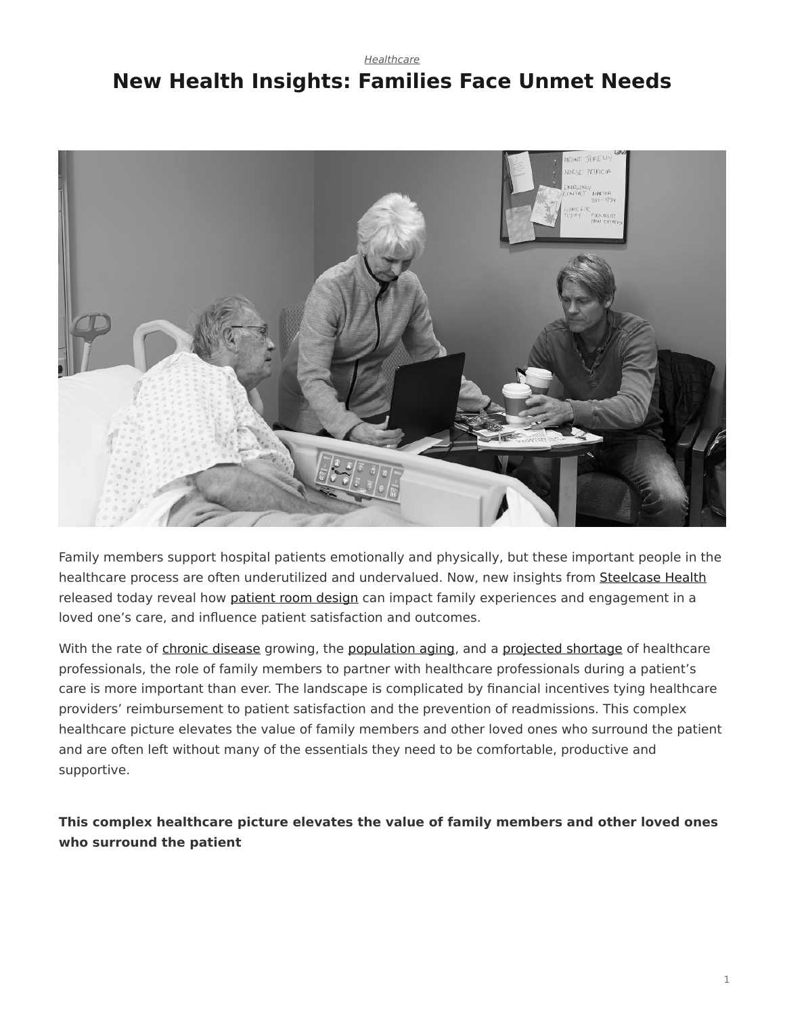## <span id="page-0-0"></span>*[Healthcare](https://www.steelcase.com/research/topics/healthcare/)* **New Health Insights: Families Face Unmet Needs**



Family members support hospital patients emotionally and physically, but these important people in the healthcare process are often underutilized and undervalued. Now, new insights from [Steelcase Health](https://www.steelcase.com/discover/information/health/) released today reveal how [patient room design](https://www.steelcase.com/discover/information/health/supporting-family-members-patient-rooms/) can impact family experiences and engagement in a loved one's care, and influence patient satisfaction and outcomes.

With the rate of [chronic disease](https://www.hcup-us.ahrq.gov/reports/statbriefs/sb183-Hospitalizations-Multiple-Chronic-Conditions-Projections-2014.jsp) growing, the [population aging,](https://www.census.gov/newsroom/press-releases/2014/cb14-84.html) and a [projected shortage](https://www.aamc.org/newsroom/newsreleases/458074/2016_workforce_projections_04052016.html) of healthcare professionals, the role of family members to partner with healthcare professionals during a patient's care is more important than ever. The landscape is complicated by financial incentives tying healthcare providers' reimbursement to patient satisfaction and the prevention of readmissions. This complex healthcare picture elevates the value of family members and other loved ones who surround the patient and are often left without many of the essentials they need to be comfortable, productive and supportive.

**This complex healthcare picture elevates the value of family members and other loved ones who surround the patient**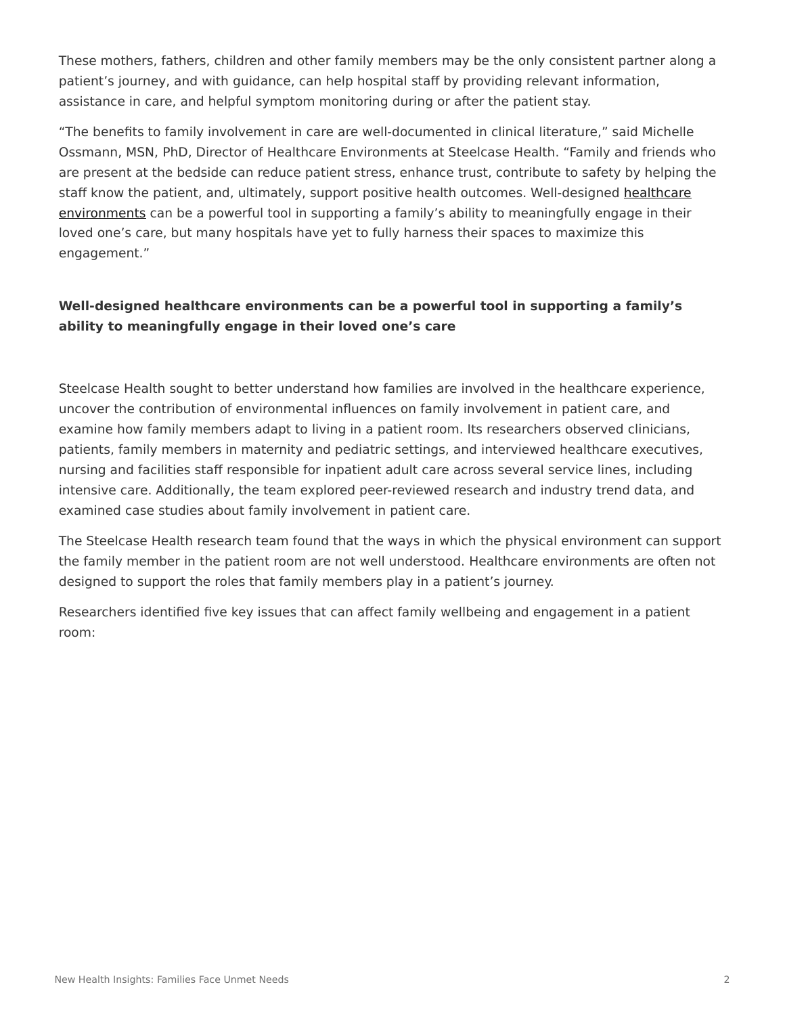These mothers, fathers, children and other family members may be the only consistent partner along a patient's journey, and with guidance, can help hospital staff by providing relevant information, assistance in care, and helpful symptom monitoring during or after the patient stay.

"The benefits to family involvement in care are well-documented in clinical literature," said Michelle Ossmann, MSN, PhD, Director of Healthcare Environments at Steelcase Health. "Family and friends who are present at the bedside can reduce patient stress, enhance trust, contribute to safety by helping the staff know the patient, and, ultimately, support positive health outcomes. Well-designed [healthcare](https://www.steelcase.com/discover/information/health/) [environments](https://www.steelcase.com/discover/information/health/) can be a powerful tool in supporting a family's ability to meaningfully engage in their loved one's care, but many hospitals have yet to fully harness their spaces to maximize this engagement."

#### **Well-designed healthcare environments can be a powerful tool in supporting a family's ability to meaningfully engage in their loved one's care**

Steelcase Health sought to better understand how families are involved in the healthcare experience, uncover the contribution of environmental influences on family involvement in patient care, and examine how family members adapt to living in a patient room. Its researchers observed clinicians, patients, family members in maternity and pediatric settings, and interviewed healthcare executives, nursing and facilities staff responsible for inpatient adult care across several service lines, including intensive care. Additionally, the team explored peer-reviewed research and industry trend data, and examined case studies about family involvement in patient care.

The Steelcase Health research team found that the ways in which the physical environment can support the family member in the patient room are not well understood. Healthcare environments are often not designed to support the roles that family members play in a patient's journey.

Researchers identified five key issues that can affect family wellbeing and engagement in a patient room: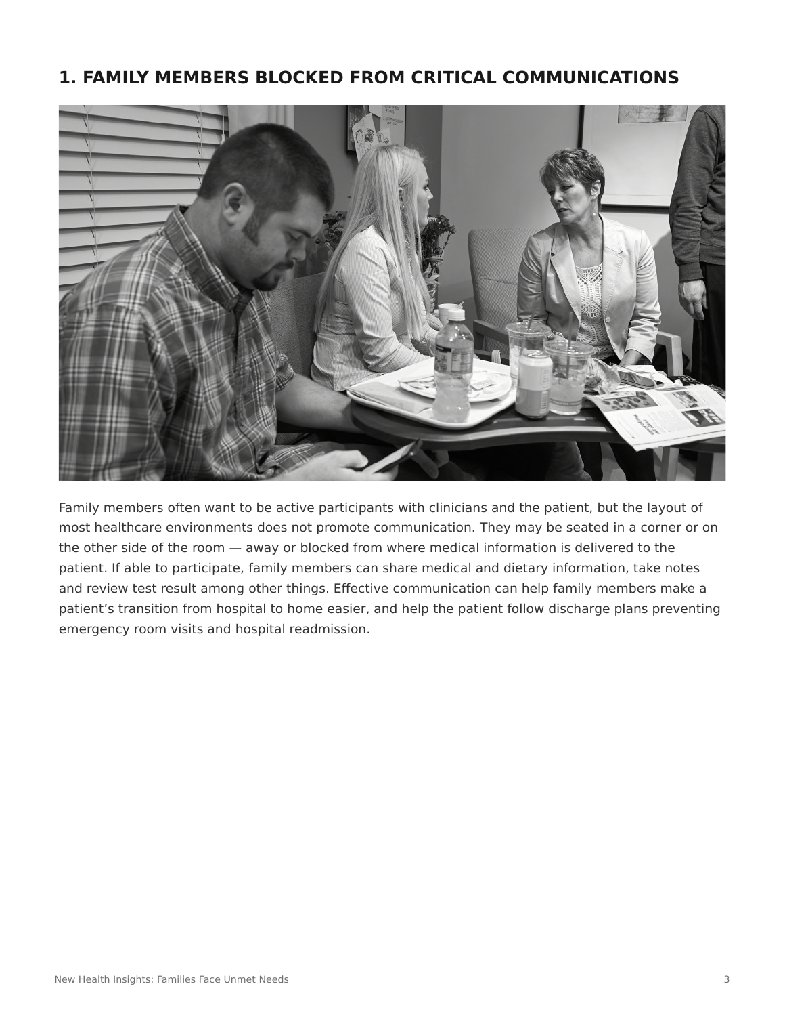## **1. FAMILY MEMBERS BLOCKED FROM CRITICAL COMMUNICATIONS**



Family members often want to be active participants with clinicians and the patient, but the layout of most healthcare environments does not promote communication. They may be seated in a corner or on the other side of the room — away or blocked from where medical information is delivered to the patient. If able to participate, family members can share medical and dietary information, take notes and review test result among other things. Effective communication can help family members make a patient's transition from hospital to home easier, and help the patient follow discharge plans preventing emergency room visits and hospital readmission.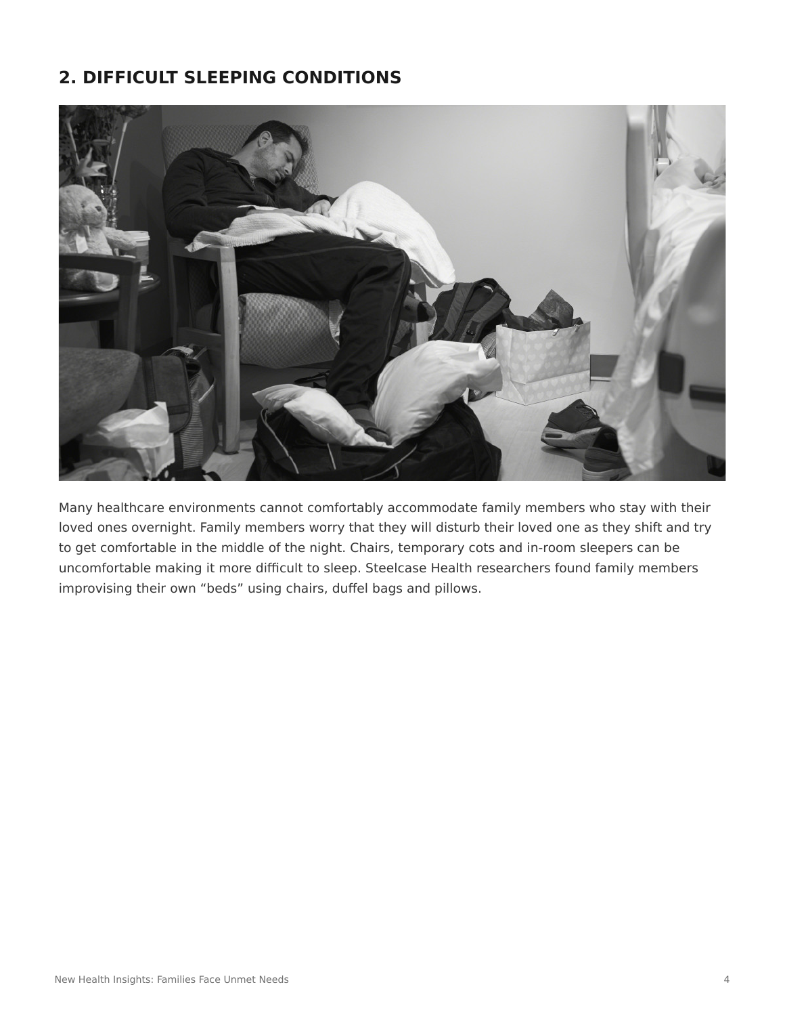# **2. DIFFICULT SLEEPING CONDITIONS**



Many healthcare environments cannot comfortably accommodate family members who stay with their loved ones overnight. Family members worry that they will disturb their loved one as they shift and try to get comfortable in the middle of the night. Chairs, temporary cots and in-room sleepers can be uncomfortable making it more difficult to sleep. Steelcase Health researchers found family members improvising their own "beds" using chairs, duffel bags and pillows.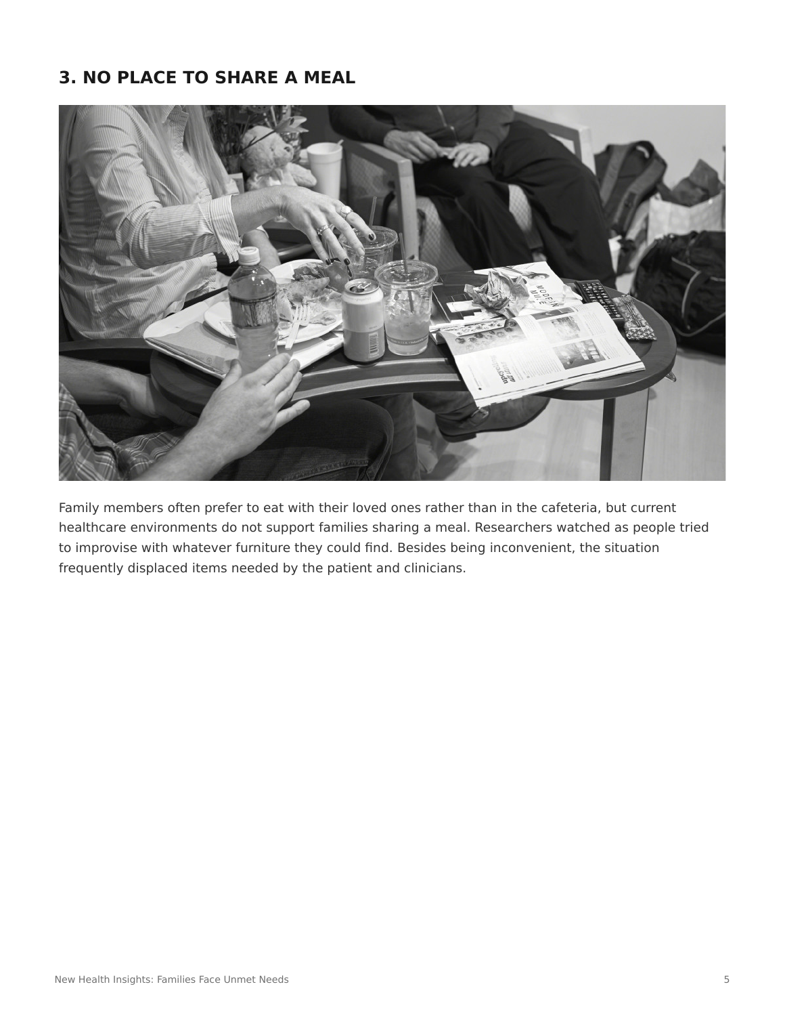## **3. NO PLACE TO SHARE A MEAL**



Family members often prefer to eat with their loved ones rather than in the cafeteria, but current healthcare environments do not support families sharing a meal. Researchers watched as people tried to improvise with whatever furniture they could find. Besides being inconvenient, the situation frequently displaced items needed by the patient and clinicians.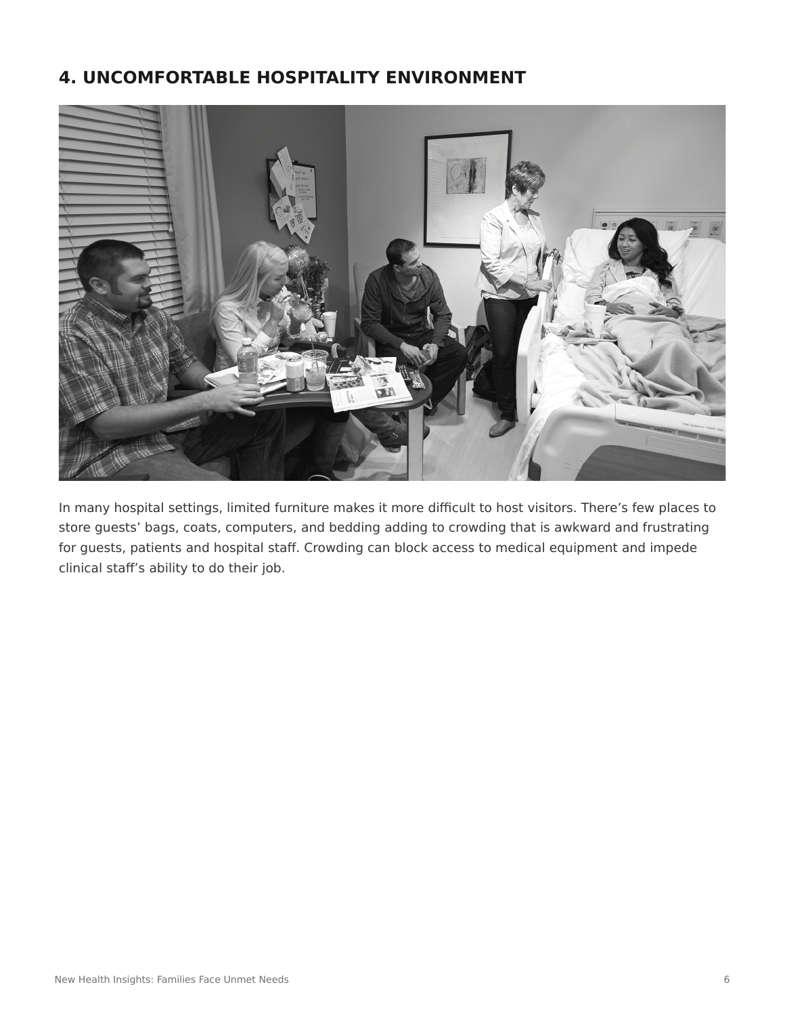# **4. UNCOMFORTABLE HOSPITALITY ENVIRONMENT**



In many hospital settings, limited furniture makes it more difficult to host visitors. There's few places to store guests' bags, coats, computers, and bedding adding to crowding that is awkward and frustrating for guests, patients and hospital staff. Crowding can block access to medical equipment and impede clinical staff's ability to do their job.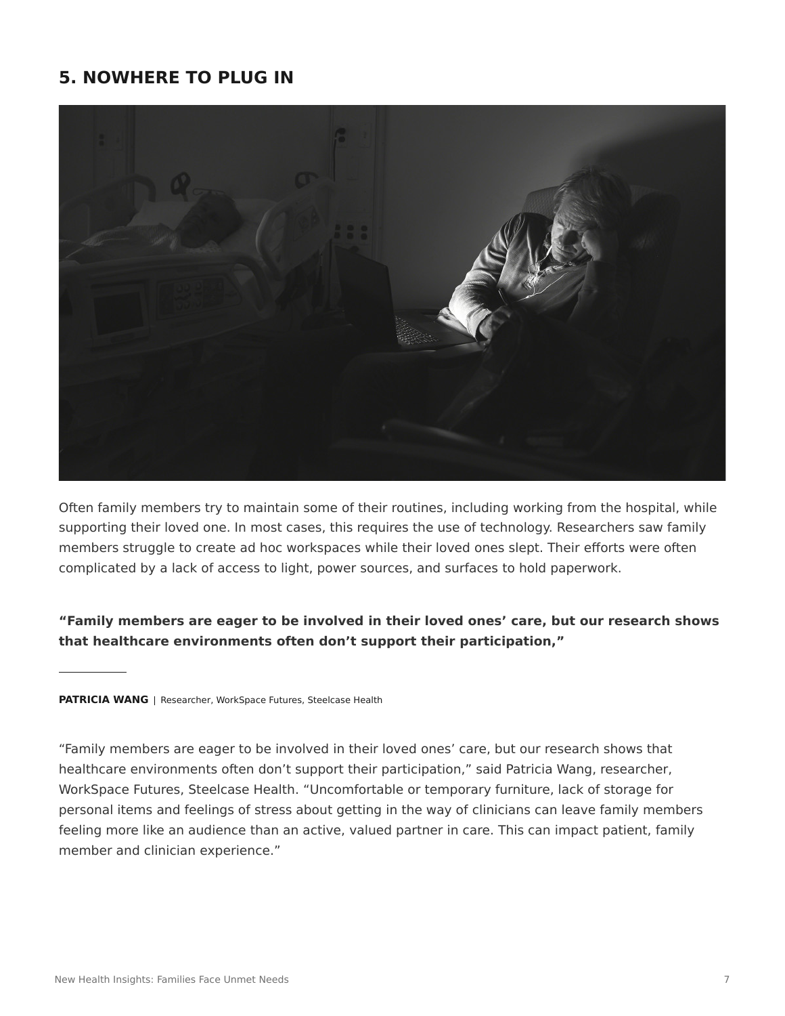## **5. NOWHERE TO PLUG IN**



Often family members try to maintain some of their routines, including working from the hospital, while supporting their loved one. In most cases, this requires the use of technology. Researchers saw family members struggle to create ad hoc workspaces while their loved ones slept. Their efforts were often complicated by a lack of access to light, power sources, and surfaces to hold paperwork.

#### **"Family members are eager to be involved in their loved ones' care, but our research shows that healthcare environments often don't support their participation,"**

#### **PATRICIA WANG** | Researcher, WorkSpace Futures, Steelcase Health

"Family members are eager to be involved in their loved ones' care, but our research shows that healthcare environments often don't support their participation," said Patricia Wang, researcher, WorkSpace Futures, Steelcase Health. "Uncomfortable or temporary furniture, lack of storage for personal items and feelings of stress about getting in the way of clinicians can leave family members feeling more like an audience than an active, valued partner in care. This can impact patient, family member and clinician experience."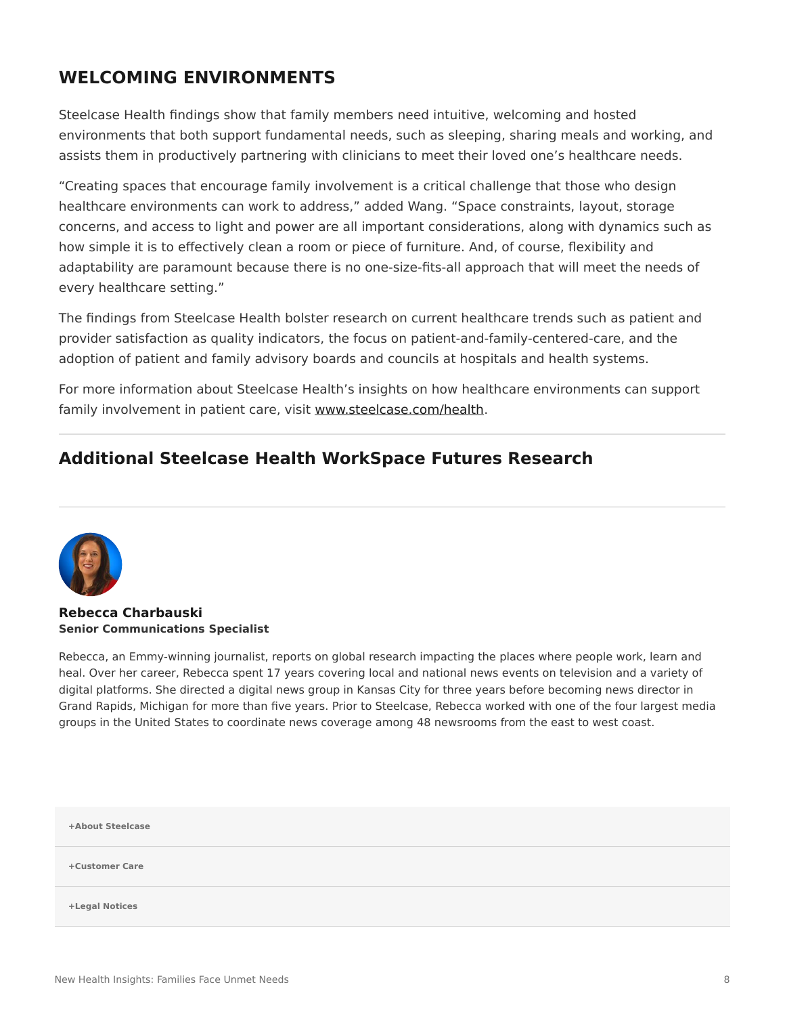## **WELCOMING ENVIRONMENTS**

Steelcase Health findings show that family members need intuitive, welcoming and hosted environments that both support fundamental needs, such as sleeping, sharing meals and working, and assists them in productively partnering with clinicians to meet their loved one's healthcare needs.

"Creating spaces that encourage family involvement is a critical challenge that those who design healthcare environments can work to address," added Wang. "Space constraints, layout, storage concerns, and access to light and power are all important considerations, along with dynamics such as how simple it is to effectively clean a room or piece of furniture. And, of course, flexibility and adaptability are paramount because there is no one-size-fits-all approach that will meet the needs of every healthcare setting."

The findings from Steelcase Health bolster research on current healthcare trends such as patient and provider satisfaction as quality indicators, the focus on patient-and-family-centered-care, and the adoption of patient and family advisory boards and councils at hospitals and health systems.

For more information about Steelcase Health's insights on how healthcare environments can support family involvement in patient care, visit [www.steelcase.com/health.](http://www.steelcase.com/health)

## **Additional Steelcase Health WorkSpace Futures Research**



**[Rebecca Charbauski](https://www.steelcase.com/research/articles/author/rcharbausteelcase-com/) Senior Communications Specialist**

Rebecca, an Emmy-winning journalist, reports on global research impacting the places where people work, learn and heal. Over her career, Rebecca spent 17 years covering local and national news events on television and a variety of digital platforms. She directed a digital news group in Kansas City for three years before becoming news director in Grand Rapids, Michigan for more than five years. Prior to Steelcase, Rebecca worked with one of the four largest media groups in the United States to coordinate news coverage among 48 newsrooms from the east to west coast.

| +About Steelcase |  |  |
|------------------|--|--|
| +Customer Care   |  |  |
| +Legal Notices   |  |  |